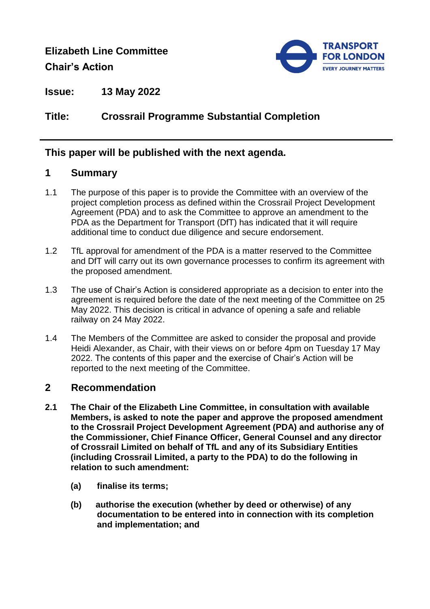# **Elizabeth Line Committee Chair's Action**



**Issue: 13 May 2022**

# **Title: Crossrail Programme Substantial Completion**

### **This paper will be published with the next agenda.**

### **1 Summary**

- 1.1 The purpose of this paper is to provide the Committee with an overview of the project completion process as defined within the Crossrail Project Development Agreement (PDA) and to ask the Committee to approve an amendment to the PDA as the Department for Transport (DfT) has indicated that it will require additional time to conduct due diligence and secure endorsement.
- 1.2 TfL approval for amendment of the PDA is a matter reserved to the Committee and DfT will carry out its own governance processes to confirm its agreement with the proposed amendment.
- 1.3 The use of Chair's Action is considered appropriate as a decision to enter into the agreement is required before the date of the next meeting of the Committee on 25 May 2022. This decision is critical in advance of opening a safe and reliable railway on 24 May 2022.
- 1.4 The Members of the Committee are asked to consider the proposal and provide Heidi Alexander, as Chair, with their views on or before 4pm on Tuesday 17 May 2022. The contents of this paper and the exercise of Chair's Action will be reported to the next meeting of the Committee.

### **2 Recommendation**

- **2.1 The Chair of the Elizabeth Line Committee, in consultation with available Members, is asked to note the paper and approve the proposed amendment to the Crossrail Project Development Agreement (PDA) and authorise any of the Commissioner, Chief Finance Officer, General Counsel and any director of Crossrail Limited on behalf of TfL and any of its Subsidiary Entities (including Crossrail Limited, a party to the PDA) to do the following in relation to such amendment:** 
	- **(a) finalise its terms;**
	- **(b) authorise the execution (whether by deed or otherwise) of any documentation to be entered into in connection with its completion and implementation; and**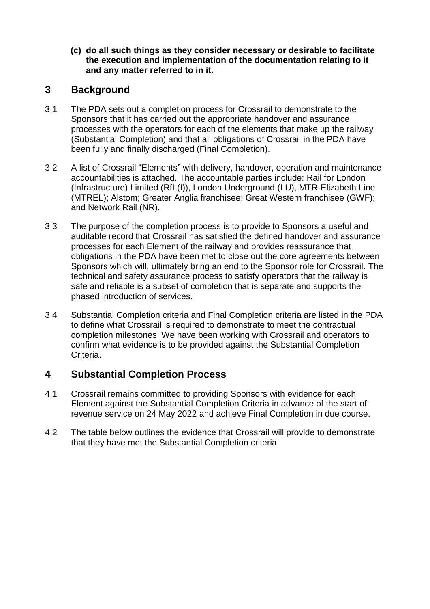**(c) do all such things as they consider necessary or desirable to facilitate the execution and implementation of the documentation relating to it and any matter referred to in it.**

## **3 Background**

- 3.1 The PDA sets out a completion process for Crossrail to demonstrate to the Sponsors that it has carried out the appropriate handover and assurance processes with the operators for each of the elements that make up the railway (Substantial Completion) and that all obligations of Crossrail in the PDA have been fully and finally discharged (Final Completion).
- 3.2 A list of Crossrail "Elements" with delivery, handover, operation and maintenance accountabilities is attached. The accountable parties include: Rail for London (Infrastructure) Limited (RfL(I)), London Underground (LU), MTR-Elizabeth Line (MTREL); Alstom; Greater Anglia franchisee; Great Western franchisee (GWF); and Network Rail (NR).
- 3.3 The purpose of the completion process is to provide to Sponsors a useful and auditable record that Crossrail has satisfied the defined handover and assurance processes for each Element of the railway and provides reassurance that obligations in the PDA have been met to close out the core agreements between Sponsors which will, ultimately bring an end to the Sponsor role for Crossrail. The technical and safety assurance process to satisfy operators that the railway is safe and reliable is a subset of completion that is separate and supports the phased introduction of services.
- 3.4 Substantial Completion criteria and Final Completion criteria are listed in the PDA to define what Crossrail is required to demonstrate to meet the contractual completion milestones. We have been working with Crossrail and operators to confirm what evidence is to be provided against the Substantial Completion Criteria.

### **4 Substantial Completion Process**

- 4.1 Crossrail remains committed to providing Sponsors with evidence for each Element against the Substantial Completion Criteria in advance of the start of revenue service on 24 May 2022 and achieve Final Completion in due course.
- 4.2 The table below outlines the evidence that Crossrail will provide to demonstrate that they have met the Substantial Completion criteria: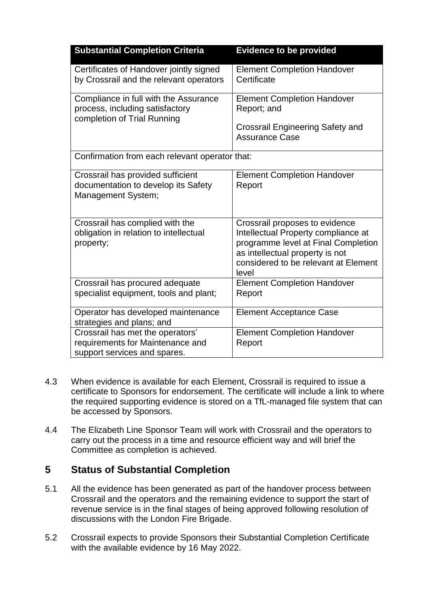| <b>Substantial Completion Criteria</b>                                                                  | <b>Evidence to be provided</b>                                                                                                                                                                   |  |  |  |  |
|---------------------------------------------------------------------------------------------------------|--------------------------------------------------------------------------------------------------------------------------------------------------------------------------------------------------|--|--|--|--|
| Certificates of Handover jointly signed<br>by Crossrail and the relevant operators                      | <b>Element Completion Handover</b><br>Certificate                                                                                                                                                |  |  |  |  |
| Compliance in full with the Assurance<br>process, including satisfactory<br>completion of Trial Running | <b>Element Completion Handover</b><br>Report; and<br><b>Crossrail Engineering Safety and</b><br><b>Assurance Case</b>                                                                            |  |  |  |  |
| Confirmation from each relevant operator that:                                                          |                                                                                                                                                                                                  |  |  |  |  |
| Crossrail has provided sufficient<br>documentation to develop its Safety<br><b>Management System;</b>   | <b>Element Completion Handover</b><br>Report                                                                                                                                                     |  |  |  |  |
| Crossrail has complied with the<br>obligation in relation to intellectual<br>property;                  | Crossrail proposes to evidence<br>Intellectual Property compliance at<br>programme level at Final Completion<br>as intellectual property is not<br>considered to be relevant at Element<br>level |  |  |  |  |
| Crossrail has procured adequate<br>specialist equipment, tools and plant;                               | <b>Element Completion Handover</b><br>Report                                                                                                                                                     |  |  |  |  |
| Operator has developed maintenance<br>strategies and plans; and                                         | <b>Element Acceptance Case</b>                                                                                                                                                                   |  |  |  |  |
| Crossrail has met the operators'<br>requirements for Maintenance and<br>support services and spares.    | <b>Element Completion Handover</b><br>Report                                                                                                                                                     |  |  |  |  |

- 4.3 When evidence is available for each Element, Crossrail is required to issue a certificate to Sponsors for endorsement. The certificate will include a link to where the required supporting evidence is stored on a TfL-managed file system that can be accessed by Sponsors.
- 4.4 The Elizabeth Line Sponsor Team will work with Crossrail and the operators to carry out the process in a time and resource efficient way and will brief the Committee as completion is achieved.

### **5 Status of Substantial Completion**

- 5.1 All the evidence has been generated as part of the handover process between Crossrail and the operators and the remaining evidence to support the start of revenue service is in the final stages of being approved following resolution of discussions with the London Fire Brigade.
- 5.2 Crossrail expects to provide Sponsors their Substantial Completion Certificate with the available evidence by 16 May 2022.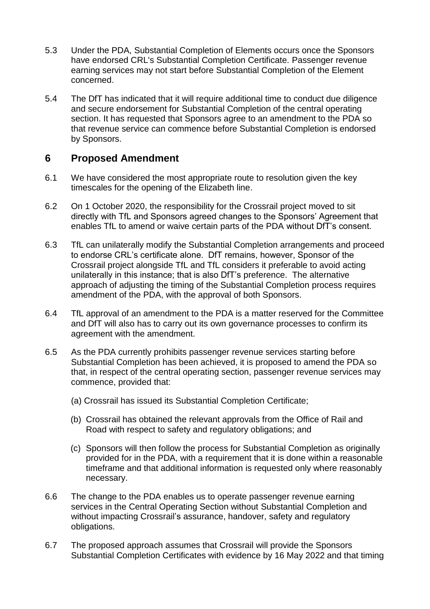- 5.3 Under the PDA, Substantial Completion of Elements occurs once the Sponsors have endorsed CRL's Substantial Completion Certificate. Passenger revenue earning services may not start before Substantial Completion of the Element concerned.
- 5.4 The DfT has indicated that it will require additional time to conduct due diligence and secure endorsement for Substantial Completion of the central operating section. It has requested that Sponsors agree to an amendment to the PDA so that revenue service can commence before Substantial Completion is endorsed by Sponsors.

# **6 Proposed Amendment**

- 6.1 We have considered the most appropriate route to resolution given the key timescales for the opening of the Elizabeth line.
- 6.2 On 1 October 2020, the responsibility for the Crossrail project moved to sit directly with TfL and Sponsors agreed changes to the Sponsors' Agreement that enables TfL to amend or waive certain parts of the PDA without DfT's consent.
- 6.3 TfL can unilaterally modify the Substantial Completion arrangements and proceed to endorse CRL's certificate alone. DfT remains, however, Sponsor of the Crossrail project alongside TfL and TfL considers it preferable to avoid acting unilaterally in this instance; that is also DfT's preference. The alternative approach of adjusting the timing of the Substantial Completion process requires amendment of the PDA, with the approval of both Sponsors.
- 6.4 TfL approval of an amendment to the PDA is a matter reserved for the Committee and DfT will also has to carry out its own governance processes to confirm its agreement with the amendment.
- 6.5 As the PDA currently prohibits passenger revenue services starting before Substantial Completion has been achieved, it is proposed to amend the PDA so that, in respect of the central operating section, passenger revenue services may commence, provided that:
	- (a) Crossrail has issued its Substantial Completion Certificate;
	- (b) Crossrail has obtained the relevant approvals from the Office of Rail and Road with respect to safety and regulatory obligations; and
	- (c) Sponsors will then follow the process for Substantial Completion as originally provided for in the PDA, with a requirement that it is done within a reasonable timeframe and that additional information is requested only where reasonably necessary.
- 6.6 The change to the PDA enables us to operate passenger revenue earning services in the Central Operating Section without Substantial Completion and without impacting Crossrail's assurance, handover, safety and regulatory obligations.
- 6.7 The proposed approach assumes that Crossrail will provide the Sponsors Substantial Completion Certificates with evidence by 16 May 2022 and that timing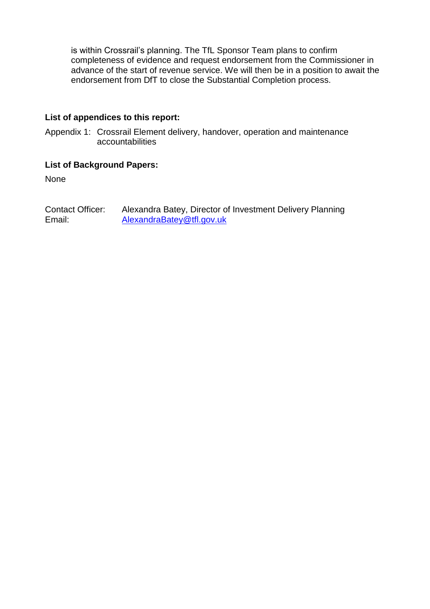is within Crossrail's planning. The TfL Sponsor Team plans to confirm completeness of evidence and request endorsement from the Commissioner in advance of the start of revenue service. We will then be in a position to await the endorsement from DfT to close the Substantial Completion process.

#### **List of appendices to this report:**

Appendix 1: Crossrail Element delivery, handover, operation and maintenance accountabilities

#### **List of Background Papers:**

None

Contact Officer: Alexandra Batey, Director of Investment Delivery Planning Email: [AlexandraBatey@tfl.gov.uk](mailto:AlexandraBatey@tfl.gov.uk)